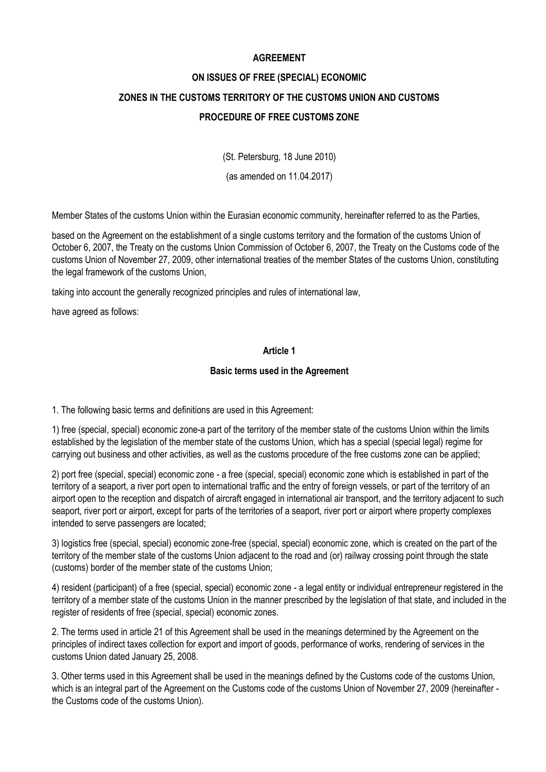# **AGREEMENT**

# **ON ISSUES OF FREE (SPECIAL) ECONOMIC ZONES IN THE CUSTOMS TERRITORY OF THE CUSTOMS UNION AND CUSTOMS PROCEDURE OF FREE CUSTOMS ZONE**

(St. Petersburg, 18 June 2010)

(as amended on 11.04.2017)

Member States of the customs Union within the Eurasian economic community, hereinafter referred to as the Parties,

based on the Agreement on the establishment of a single customs territory and the formation of the customs Union of October 6, 2007, the Treaty on the customs Union Commission of October 6, 2007, the Treaty on the Customs code of the customs Union of November 27, 2009, other international treaties of the member States of the customs Union, constituting the legal framework of the customs Union,

taking into account the generally recognized principles and rules of international law,

have agreed as follows:

# **Article 1**

#### **Basic terms used in the Agreement**

1. The following basic terms and definitions are used in this Agreement:

1) free (special, special) economic zone-a part of the territory of the member state of the customs Union within the limits established by the legislation of the member state of the customs Union, which has a special (special legal) regime for carrying out business and other activities, as well as the customs procedure of the free customs zone can be applied;

2) port free (special, special) economic zone - a free (special, special) economic zone which is established in part of the territory of a seaport, a river port open to international traffic and the entry of foreign vessels, or part of the territory of an airport open to the reception and dispatch of aircraft engaged in international air transport, and the territory adjacent to such seaport, river port or airport, except for parts of the territories of a seaport, river port or airport where property complexes intended to serve passengers are located;

3) logistics free (special, special) economic zone-free (special, special) economic zone, which is created on the part of the territory of the member state of the customs Union adjacent to the road and (or) railway crossing point through the state (customs) border of the member state of the customs Union;

4) resident (participant) of a free (special, special) economic zone - a legal entity or individual entrepreneur registered in the territory of a member state of the customs Union in the manner prescribed by the legislation of that state, and included in the register of residents of free (special, special) economic zones.

2. The terms used in article 21 of this Agreement shall be used in the meanings determined by the Agreement on the principles of indirect taxes collection for export and import of goods, performance of works, rendering of services in the customs Union dated January 25, 2008.

3. Other terms used in this Agreement shall be used in the meanings defined by the Customs code of the customs Union, which is an integral part of the Agreement on the Customs code of the customs Union of November 27, 2009 (hereinafter the Customs code of the customs Union).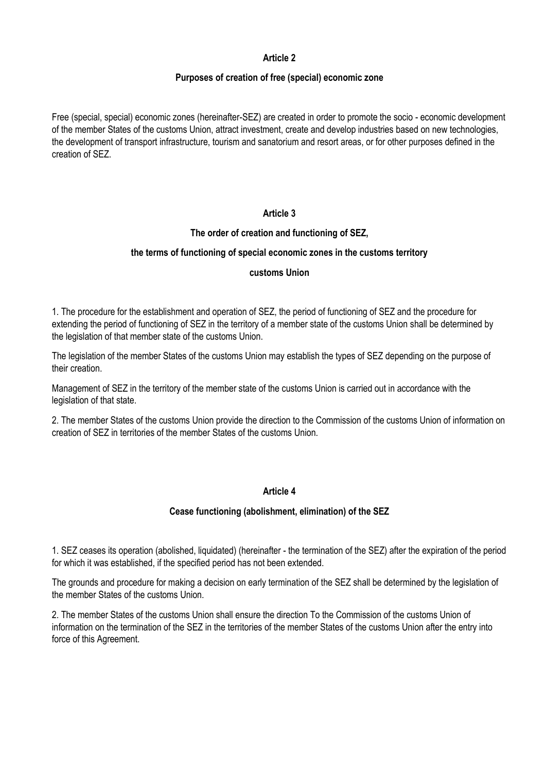#### **Purposes of creation of free (special) economic zone**

Free (special, special) economic zones (hereinafter-SEZ) are created in order to promote the socio - economic development of the member States of the customs Union, attract investment, create and develop industries based on new technologies, the development of transport infrastructure, tourism and sanatorium and resort areas, or for other purposes defined in the creation of SEZ.

# **Article 3**

# **The order of creation and functioning of SEZ,**

#### **the terms of functioning of special economic zones in the customs territory**

#### **customs Union**

1. The procedure for the establishment and operation of SEZ, the period of functioning of SEZ and the procedure for extending the period of functioning of SEZ in the territory of a member state of the customs Union shall be determined by the legislation of that member state of the customs Union.

The legislation of the member States of the customs Union may establish the types of SEZ depending on the purpose of their creation.

Management of SEZ in the territory of the member state of the customs Union is carried out in accordance with the legislation of that state.

2. The member States of the customs Union provide the direction to the Commission of the customs Union of information on creation of SEZ in territories of the member States of the customs Union.

#### **Article 4**

#### **Cease functioning (abolishment, elimination) of the SEZ**

1. SEZ ceases its operation (abolished, liquidated) (hereinafter - the termination of the SEZ) after the expiration of the period for which it was established, if the specified period has not been extended.

The grounds and procedure for making a decision on early termination of the SEZ shall be determined by the legislation of the member States of the customs Union.

2. The member States of the customs Union shall ensure the direction To the Commission of the customs Union of information on the termination of the SEZ in the territories of the member States of the customs Union after the entry into force of this Agreement.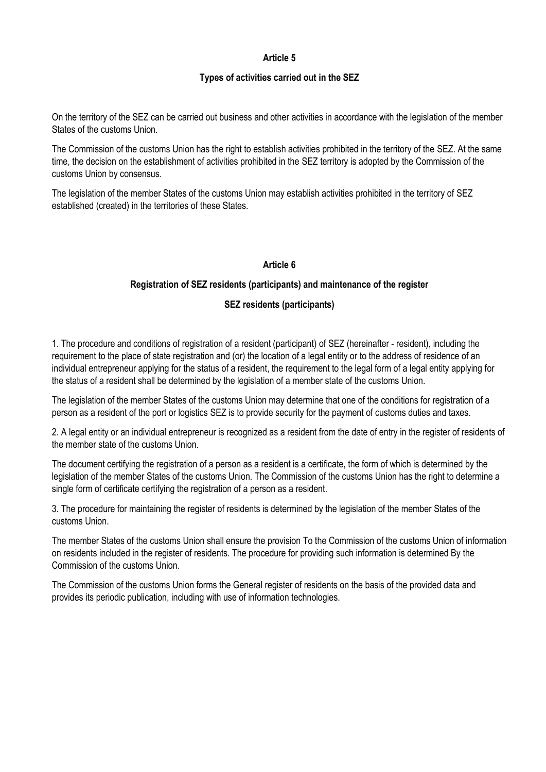#### **Types of activities carried out in the SEZ**

On the territory of the SEZ can be carried out business and other activities in accordance with the legislation of the member States of the customs Union.

The Commission of the customs Union has the right to establish activities prohibited in the territory of the SEZ. At the same time, the decision on the establishment of activities prohibited in the SEZ territory is adopted by the Commission of the customs Union by consensus.

The legislation of the member States of the customs Union may establish activities prohibited in the territory of SEZ established (created) in the territories of these States.

# **Article 6**

#### **Registration of SEZ residents (participants) and maintenance of the register**

#### **SEZ residents (participants)**

1. The procedure and conditions of registration of a resident (participant) of SEZ (hereinafter - resident), including the requirement to the place of state registration and (or) the location of a legal entity or to the address of residence of an individual entrepreneur applying for the status of a resident, the requirement to the legal form of a legal entity applying for the status of a resident shall be determined by the legislation of a member state of the customs Union.

The legislation of the member States of the customs Union may determine that one of the conditions for registration of a person as a resident of the port or logistics SEZ is to provide security for the payment of customs duties and taxes.

2. A legal entity or an individual entrepreneur is recognized as a resident from the date of entry in the register of residents of the member state of the customs Union.

The document certifying the registration of a person as a resident is a certificate, the form of which is determined by the legislation of the member States of the customs Union. The Commission of the customs Union has the right to determine a single form of certificate certifying the registration of a person as a resident.

3. The procedure for maintaining the register of residents is determined by the legislation of the member States of the customs Union.

The member States of the customs Union shall ensure the provision To the Commission of the customs Union of information on residents included in the register of residents. The procedure for providing such information is determined By the Commission of the customs Union.

The Commission of the customs Union forms the General register of residents on the basis of the provided data and provides its periodic publication, including with use of information technologies.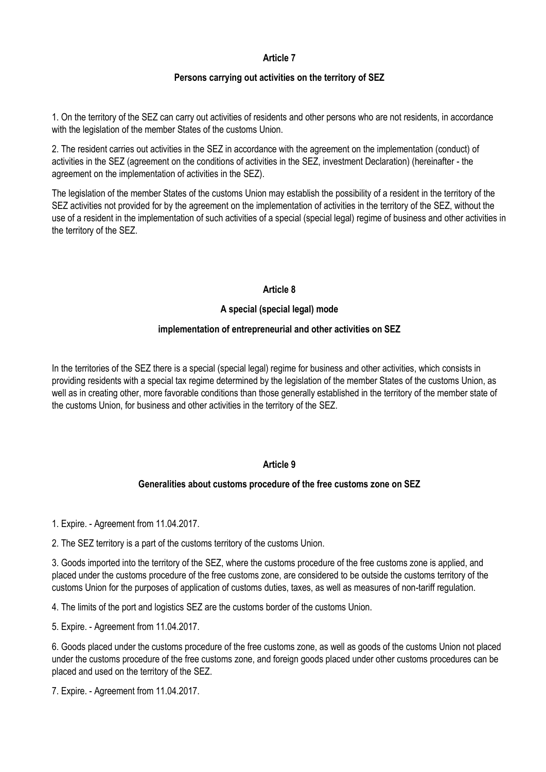## **Persons carrying out activities on the territory of SEZ**

1. On the territory of the SEZ can carry out activities of residents and other persons who are not residents, in accordance with the legislation of the member States of the customs Union.

2. The resident carries out activities in the SEZ in accordance with the agreement on the implementation (conduct) of activities in the SEZ (agreement on the conditions of activities in the SEZ, investment Declaration) (hereinafter - the agreement on the implementation of activities in the SEZ).

The legislation of the member States of the customs Union may establish the possibility of a resident in the territory of the SEZ activities not provided for by the agreement on the implementation of activities in the territory of the SEZ, without the use of a resident in the implementation of such activities of a special (special legal) regime of business and other activities in the territory of the SEZ.

#### **Article 8**

# **A special (special legal) mode**

#### **implementation of entrepreneurial and other activities on SEZ**

In the territories of the SEZ there is a special (special legal) regime for business and other activities, which consists in providing residents with a special tax regime determined by the legislation of the member States of the customs Union, as well as in creating other, more favorable conditions than those generally established in the territory of the member state of the customs Union, for business and other activities in the territory of the SEZ.

# **Article 9**

# **Generalities about customs procedure of the free customs zone on SEZ**

1. Expire. - Agreement from 11.04.2017.

2. The SEZ territory is a part of the customs territory of the customs Union.

3. Goods imported into the territory of the SEZ, where the customs procedure of the free customs zone is applied, and placed under the customs procedure of the free customs zone, are considered to be outside the customs territory of the customs Union for the purposes of application of customs duties, taxes, as well as measures of non-tariff regulation.

4. The limits of the port and logistics SEZ are the customs border of the customs Union.

5. Expire. - Agreement from 11.04.2017.

6. Goods placed under the customs procedure of the free customs zone, as well as goods of the customs Union not placed under the customs procedure of the free customs zone, and foreign goods placed under other customs procedures can be placed and used on the territory of the SEZ.

7. Expire. - Agreement from 11.04.2017.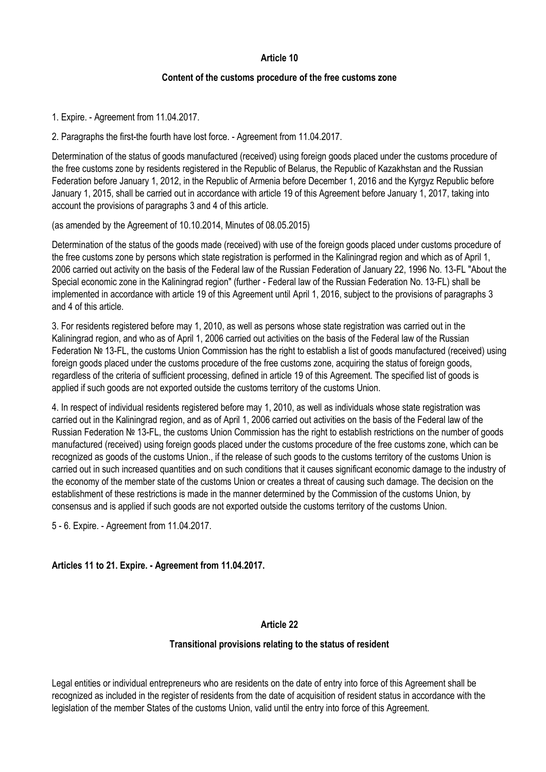#### **Content of the customs procedure of the free customs zone**

1. Expire. - Agreement from 11.04.2017.

2. Paragraphs the first-the fourth have lost force. - Agreement from 11.04.2017.

Determination of the status of goods manufactured (received) using foreign goods placed under the customs procedure of the free customs zone by residents registered in the Republic of Belarus, the Republic of Kazakhstan and the Russian Federation before January 1, 2012, in the Republic of Armenia before December 1, 2016 and the Kyrgyz Republic before January 1, 2015, shall be carried out in accordance with article 19 of this Agreement before January 1, 2017, taking into account the provisions of paragraphs 3 and 4 of this article.

(as amended by the Agreement of 10.10.2014, Minutes of 08.05.2015)

Determination of the status of the goods made (received) with use of the foreign goods placed under customs procedure of the free customs zone by persons which state registration is performed in the Kaliningrad region and which as of April 1, 2006 carried out activity on the basis of the Federal law of the Russian Federation of January 22, 1996 No. 13-FL "About the Special economic zone in the Kaliningrad region" (further - Federal law of the Russian Federation No. 13-FL) shall be implemented in accordance with article 19 of this Agreement until April 1, 2016, subject to the provisions of paragraphs 3 and 4 of this article.

3. For residents registered before may 1, 2010, as well as persons whose state registration was carried out in the Kaliningrad region, and who as of April 1, 2006 carried out activities on the basis of the Federal law of the Russian Federation № 13-FL, the customs Union Commission has the right to establish a list of goods manufactured (received) using foreign goods placed under the customs procedure of the free customs zone, acquiring the status of foreign goods, regardless of the criteria of sufficient processing, defined in article 19 of this Agreement. The specified list of goods is applied if such goods are not exported outside the customs territory of the customs Union.

4. In respect of individual residents registered before may 1, 2010, as well as individuals whose state registration was carried out in the Kaliningrad region, and as of April 1, 2006 carried out activities on the basis of the Federal law of the Russian Federation № 13-FL, the customs Union Commission has the right to establish restrictions on the number of goods manufactured (received) using foreign goods placed under the customs procedure of the free customs zone, which can be recognized as goods of the customs Union., if the release of such goods to the customs territory of the customs Union is carried out in such increased quantities and on such conditions that it causes significant economic damage to the industry of the economy of the member state of the customs Union or creates a threat of causing such damage. The decision on the establishment of these restrictions is made in the manner determined by the Commission of the customs Union, by consensus and is applied if such goods are not exported outside the customs territory of the customs Union.

5 - 6. Expire. - Agreement from 11.04.2017.

# **Articles 11 to 21. Expire. - Agreement from 11.04.2017.**

#### **Article 22**

#### **Transitional provisions relating to the status of resident**

Legal entities or individual entrepreneurs who are residents on the date of entry into force of this Agreement shall be recognized as included in the register of residents from the date of acquisition of resident status in accordance with the legislation of the member States of the customs Union, valid until the entry into force of this Agreement.